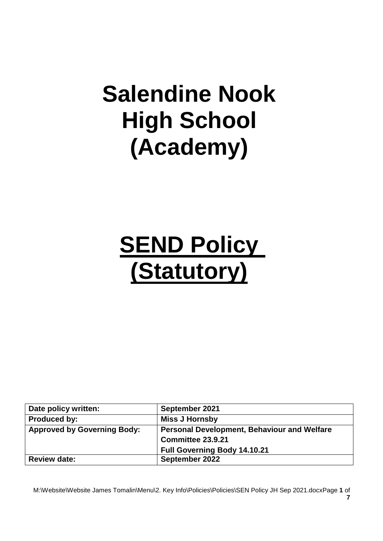## **Salendine Nook High School (Academy)**

# **SEND Policy (Statutory)**

| Date policy written:               | September 2021                                     |
|------------------------------------|----------------------------------------------------|
| <b>Produced by:</b>                | <b>Miss J Hornsby</b>                              |
| <b>Approved by Governing Body:</b> | <b>Personal Development, Behaviour and Welfare</b> |
|                                    | Committee 23.9.21                                  |
|                                    | <b>Full Governing Body 14.10.21</b>                |
| <b>Review date:</b>                | September 2022                                     |

M:\Website\Website James Tomalin\Menu\2. Key Info\Policies\Policies\SEN Policy JH Sep 2021.docxPage **1** of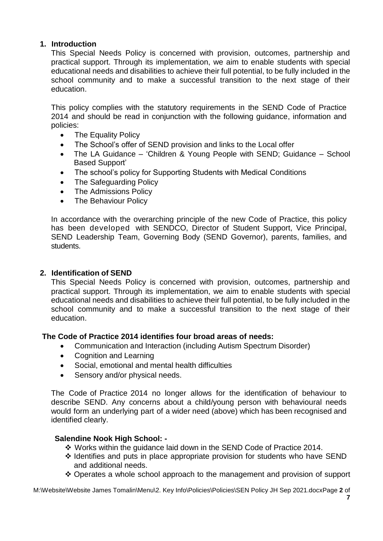## **1. Introduction**

This Special Needs Policy is concerned with provision, outcomes, partnership and practical support. Through its implementation, we aim to enable students with special educational needs and disabilities to achieve their full potential, to be fully included in the school community and to make a successful transition to the next stage of their education.

This policy complies with the statutory requirements in the SEND Code of Practice 2014 and should be read in conjunction with the following guidance, information and policies:

- The Equality Policy
- The School's offer of SEND provision and links to the Local offer
- The LA Guidance 'Children & Young People with SEND; Guidance School Based Support'
- The school's policy for Supporting Students with Medical Conditions
- The Safeguarding Policy
- The Admissions Policy
- The Behaviour Policy

In accordance with the overarching principle of the new Code of Practice, this policy has been developed with SENDCO, Director of Student Support, Vice Principal, SEND Leadership Team, Governing Body (SEND Governor), parents, families, and students.

## **2. Identification of SEND**

This Special Needs Policy is concerned with provision, outcomes, partnership and practical support. Through its implementation, we aim to enable students with special educational needs and disabilities to achieve their full potential, to be fully included in the school community and to make a successful transition to the next stage of their education.

## **The Code of Practice 2014 identifies four broad areas of needs:**

- Communication and Interaction (including Autism Spectrum Disorder)
- Cognition and Learning
- Social, emotional and mental health difficulties
- Sensory and/or physical needs.

The Code of Practice 2014 no longer allows for the identification of behaviour to describe SEND. Any concerns about a child/young person with behavioural needs would form an underlying part of a wider need (above) which has been recognised and identified clearly.

## **Salendine Nook High School: -**

- ❖ Works within the guidance laid down in the SEND Code of Practice 2014.
- ❖ Identifies and puts in place appropriate provision for students who have SEND and additional needs.
- ❖ Operates a whole school approach to the management and provision of support

M:\Website\Website James Tomalin\Menu\2. Key Info\Policies\Policies\SEN Policy JH Sep 2021.docxPage **2** of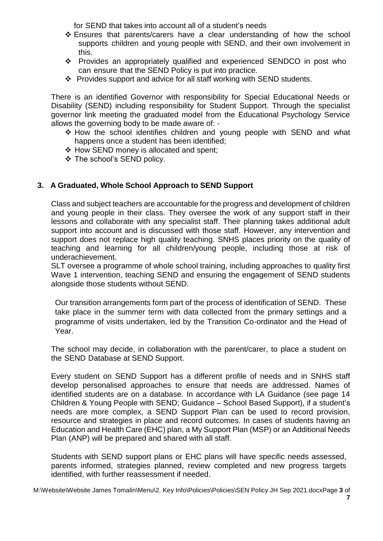for SEND that takes into account all of a student's needs

- ❖ Ensures that parents/carers have a clear understanding of how the school supports children and young people with SEND, and their own involvement in this.
- ❖ Provides an appropriately qualified and experienced SENDCO in post who can ensure that the SEND Policy is put into practice.
- ❖ Provides support and advice for all staff working with SEND students.

There is an identified Governor with responsibility for Special Educational Needs or Disability (SEND) including responsibility for Student Support. Through the specialist governor link meeting the graduated model from the Educational Psychology Service allows the governing body to be made aware of: -

- ❖ How the school identifies children and young people with SEND and what happens once a student has been identified;
- ❖ How SEND money is allocated and spent;
- ❖ The school's SEND policy.

## **3. A Graduated, Whole School Approach to SEND Support**

Class and subject teachers are accountable for the progress and development of children and young people in their class. They oversee the work of any support staff in their lessons and collaborate with any specialist staff. Their planning takes additional adult support into account and is discussed with those staff. However, any intervention and support does not replace high quality teaching. SNHS places priority on the quality of teaching and learning for all children/young people, including those at risk of underachievement.

SLT oversee a programme of whole school training, including approaches to quality first Wave 1 intervention, teaching SEND and ensuring the engagement of SEND students alongside those students without SEND.

Our transition arrangements form part of the process of identification of SEND. These take place in the summer term with data collected from the primary settings and a programme of visits undertaken, led by the Transition Co-ordinator and the Head of Year.

The school may decide, in collaboration with the parent/carer, to place a student on the SEND Database at SEND Support.

Every student on SEND Support has a different profile of needs and in SNHS staff develop personalised approaches to ensure that needs are addressed. Names of identified students are on a database. In accordance with LA Guidance (see page 14 Children & Young People with SEND; Guidance – School Based Support), if a student's needs are more complex, a SEND Support Plan can be used to record provision, resource and strategies in place and record outcomes. In cases of students having an Education and Health Care (EHC) plan, a My Support Plan (MSP) or an Additional Needs Plan (ANP) will be prepared and shared with all staff.

Students with SEND support plans or EHC plans will have specific needs assessed, parents informed, strategies planned, review completed and new progress targets identified, with further reassessment if needed.

M:\Website\Website James Tomalin\Menu\2. Key Info\Policies\Policies\SEN Policy JH Sep 2021.docxPage **3** of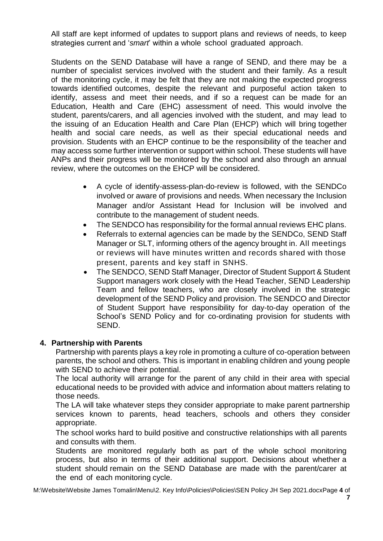All staff are kept informed of updates to support plans and reviews of needs, to keep strategies current and '*smart*' within a whole school graduated approach.

Students on the SEND Database will have a range of SEND, and there may be a number of specialist services involved with the student and their family. As a result of the monitoring cycle, it may be felt that they are not making the expected progress towards identified outcomes, despite the relevant and purposeful action taken to identify, assess and meet their needs, and if so a request can be made for an Education, Health and Care (EHC) assessment of need. This would involve the student, parents/carers, and all agencies involved with the student, and may lead to the issuing of an Education Health and Care Plan (EHCP) which will bring together health and social care needs, as well as their special educational needs and provision. Students with an EHCP continue to be the responsibility of the teacher and may access some further intervention or support within school. These students will have ANPs and their progress will be monitored by the school and also through an annual review, where the outcomes on the EHCP will be considered.

- A cycle of identify-assess-plan-do-review is followed, with the SENDCo involved or aware of provisions and needs. When necessary the Inclusion Manager and/or Assistant Head for Inclusion will be involved and contribute to the management of student needs.
- The SENDCO has responsibility for the formal annual reviews EHC plans.
- Referrals to external agencies can be made by the SENDCo, SEND Staff Manager or SLT, informing others of the agency brought in. All meetings or reviews will have minutes written and records shared with those present, parents and key staff in SNHS.
- The SENDCO, SEND Staff Manager, Director of Student Support & Student Support managers work closely with the Head Teacher, SEND Leadership Team and fellow teachers, who are closely involved in the strategic development of the SEND Policy and provision. The SENDCO and Director of Student Support have responsibility for day-to-day operation of the School's SEND Policy and for co-ordinating provision for students with SEND.

## **4. Partnership with Parents**

Partnership with parents plays a key role in promoting a culture of co-operation between parents, the school and others. This is important in enabling children and young people with SEND to achieve their potential.

The local authority will arrange for the parent of any child in their area with special educational needs to be provided with advice and information about matters relating to those needs.

The LA will take whatever steps they consider appropriate to make parent partnership services known to parents, head teachers, schools and others they consider appropriate.

The school works hard to build positive and constructive relationships with all parents and consults with them.

Students are monitored regularly both as part of the whole school monitoring process, but also in terms of their additional support. Decisions about whether a student should remain on the SEND Database are made with the parent/carer at the end of each monitoring cycle.

M:\Website\Website James Tomalin\Menu\2. Key Info\Policies\Policies\SEN Policy JH Sep 2021.docxPage **4** of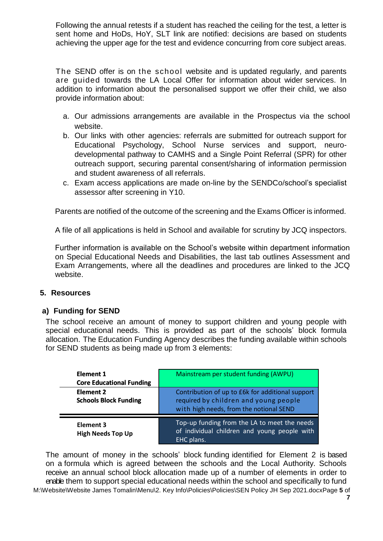sent home and HoDs, HoY, SLT link are notified: decisions are based on students achieving the upper age for the test and evidence concurring from core subject areas.

- a. Our admissions arrangements are available in the Prospectus via the school website.
- b. Our links with other agencies: referrals are submitted for outreach support for Educational Psychology, School Nurse services and support, neurodevelopmental pathway to CAMHS and a Single Point Referral (SPR) for other outreach support, securing parental consent/sharing of information permission and student awareness of all referrals.
- c. Exam access applications are made on-line by the SENDCo/school's specialist assessor after screening in Y10.

#### **5. Resources**

#### **a) Funding for SEND**

|                                                                                         | Following the annual retests if a student has reached the ceiling for the test, a letter is<br>sent home and HoDs, HoY, SLT link are notified: decisions are based on students<br>achieving the upper age for the test and evidence concurring from core subject areas.                                                                                                                                  |
|-----------------------------------------------------------------------------------------|----------------------------------------------------------------------------------------------------------------------------------------------------------------------------------------------------------------------------------------------------------------------------------------------------------------------------------------------------------------------------------------------------------|
| provide information about:                                                              | The SEND offer is on the school website and is updated regularly, and parents<br>are guided towards the LA Local Offer for information about wider services. In<br>addition to information about the personalised support we offer their child, we also                                                                                                                                                  |
|                                                                                         | a. Our admissions arrangements are available in the Prospectus via the schoo                                                                                                                                                                                                                                                                                                                             |
| website.<br>and student awareness of all referrals.<br>assessor after screening in Y10. | b. Our links with other agencies: referrals are submitted for outreach support for<br>Educational Psychology, School Nurse services and support, neuro-<br>developmental pathway to CAMHS and a Single Point Referral (SPR) for other<br>outreach support, securing parental consent/sharing of information permission<br>c. Exam access applications are made on-line by the SENDCo/school's specialist |
|                                                                                         | Parents are notified of the outcome of the screening and the Exams Officer is informed.                                                                                                                                                                                                                                                                                                                  |
|                                                                                         | A file of all applications is held in School and available for scrutiny by JCQ inspectors.                                                                                                                                                                                                                                                                                                               |
| website.                                                                                | Further information is available on the School's website within department informatior<br>on Special Educational Needs and Disabilities, the last tab outlines Assessment and<br>Exam Arrangements, where all the deadlines and procedures are linked to the JCC                                                                                                                                         |
| esources                                                                                |                                                                                                                                                                                                                                                                                                                                                                                                          |
| <b>Funding for SEND</b><br>SEND students as being made up from 3 elements:              | e school receive an amount of money to support children and young people with<br>ecial educational needs. This is provided as part of the schools' block formula<br>ocation. The Education Funding Agency describes the funding available within schools                                                                                                                                                 |
| <b>Element 1</b><br><b>Core Educational Funding</b>                                     | Mainstream per student funding (AWPU)                                                                                                                                                                                                                                                                                                                                                                    |
| <b>Element 2</b><br><b>Schools Block Funding</b>                                        | Contribution of up to £6k for additional support<br>required by children and young people<br>with high needs, from the notional SEND                                                                                                                                                                                                                                                                     |
| <b>Element 3</b><br><b>High Needs Top Up</b>                                            | Top-up funding from the LA to meet the needs<br>of individual children and young people with<br>EHC plans.                                                                                                                                                                                                                                                                                               |

M:\Website\Website James Tomalin\Menu\2. Key Info\Policies\Policies\SEN Policy JH Sep 2021.docxPage **5** of The amount of money in the schools' block funding identified for Element 2 is based on a formula which is agreed between the schools and the Local Authority. Schools receive an annual school block allocation made up of a number of elements in order to enable them to support special educational needs within the school and specifically to fund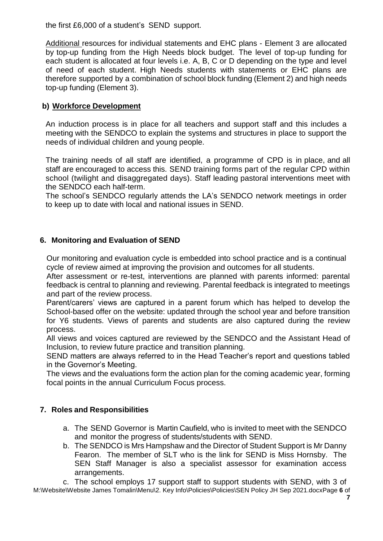the first £6,000 of a student's SEND support.

Additional resources for individual statements and EHC plans - Element 3 are allocated by top-up funding from the High Needs block budget. The level of top-up funding for each student is allocated at four levels i.e. A, B, C or D depending on the type and level of need of each student. High Needs students with statements or EHC plans are therefore supported by a combination of school block funding (Element 2) and high needs top-up funding (Element 3).

#### **b) Workforce Development**

An induction process is in place for all teachers and support staff and this includes a meeting with the SENDCO to explain the systems and structures in place to support the needs of individual children and young people.

The training needs of all staff are identified, a programme of CPD is in place, and all staff are encouraged to access this. SEND training forms part of the regular CPD within school (twilight and disaggregated days). Staff leading pastoral interventions meet with the SENDCO each half-term.

The school's SENDCO regularly attends the LA's SENDCO network meetings in order to keep up to date with local and national issues in SEND.

#### **6. Monitoring and Evaluation of SEND**

Our monitoring and evaluation cycle is embedded into school practice and is a continual cycle of review aimed at improving the provision and outcomes for all students.

After assessment or re-test, interventions are planned with parents informed: parental feedback is central to planning and reviewing. Parental feedback is integrated to meetings and part of the review process.

Parent/carers' views are captured in a parent forum which has helped to develop the School-based offer on the website: updated through the school year and before transition for Y6 students. Views of parents and students are also captured during the review process.

All views and voices captured are reviewed by the SENDCO and the Assistant Head of Inclusion, to review future practice and transition planning.

SEND matters are always referred to in the Head Teacher's report and questions tabled in the Governor's Meeting.

The views and the evaluations form the action plan for the coming academic year, forming focal points in the annual Curriculum Focus process.

#### **7. Roles and Responsibilities**

- a. The SEND Governor is Martin Caufield, who is invited to meet with the SENDCO and monitor the progress of students/students with SEND.
- b. The SENDCO is Mrs Hampshaw and the Director of Student Support is Mr Danny Fearon. The member of SLT who is the link for SEND is Miss Hornsby. The SEN Staff Manager is also a specialist assessor for examination access arrangements.

M:\Website\Website James Tomalin\Menu\2. Key Info\Policies\Policies\SEN Policy JH Sep 2021.docxPage **6** of c. The school employs 17 support staff to support students with SEND, with 3 of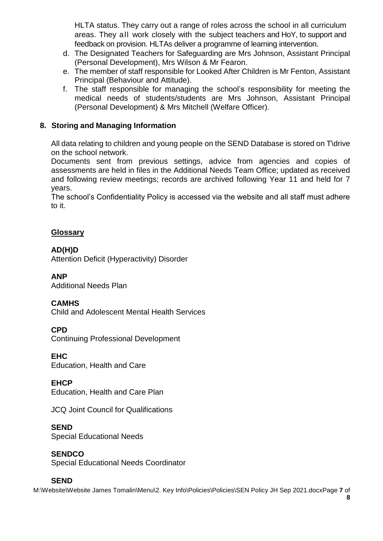HLTA status. They carry out a range of roles across the school in all curriculum areas. They all work closely with the subject teachers and HoY, to support and feedback on provision. HLTAs deliver a programme of learning intervention.

- d. The Designated Teachers for Safeguarding are Mrs Johnson, Assistant Principal (Personal Development), Mrs Wilson & Mr Fearon.
- e. The member of staff responsible for Looked After Children is Mr Fenton, Assistant Principal (Behaviour and Attitude).
- f. The staff responsible for managing the school's responsibility for meeting the medical needs of students/students are Mrs Johnson, Assistant Principal (Personal Development) & Mrs Mitchell (Welfare Officer).

## **8. Storing and Managing Information**

All data relating to children and young people on the SEND Database is stored on T\drive on the school network.

Documents sent from previous settings, advice from agencies and copies of assessments are held in files in the Additional Needs Team Office; updated as received and following review meetings; records are archived following Year 11 and held for 7 years.

The school's Confidentiality Policy is accessed via the website and all staff must adhere to it.

#### **Glossary**

#### **AD(H)D**

Attention Deficit (Hyperactivity) Disorder

#### **ANP**

Additional Needs Plan

#### **CAMHS**

Child and Adolescent Mental Health Services

#### **CPD**

Continuing Professional Development

## **EHC**

Education, Health and Care

## **EHCP**

Education, Health and Care Plan

JCQ Joint Council for Qualifications

## **SEND**

Special Educational Needs

## **SENDCO**

Special Educational Needs Coordinator

#### **SEND**

M:\Website\Website James Tomalin\Menu\2. Key Info\Policies\Policies\SEN Policy JH Sep 2021.docxPage **7** of